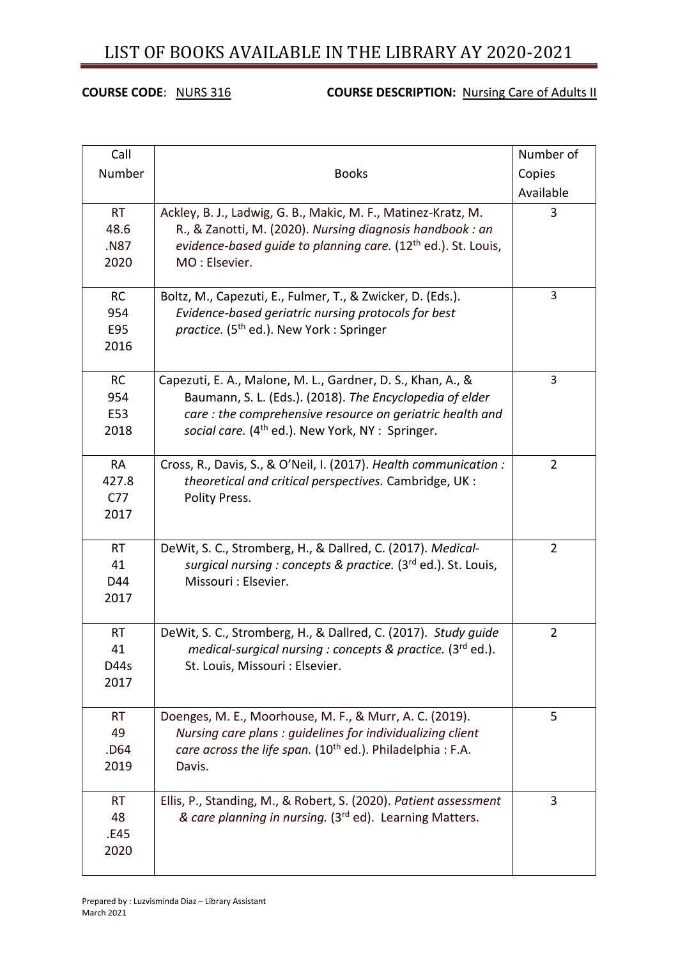#### **COURSE CODE:** NURS 316 **COURSE DESCRIPTION:** Nursing Care of Adults II

| Call                                          |                                                                                                                                                                                                                                                     | Number of      |
|-----------------------------------------------|-----------------------------------------------------------------------------------------------------------------------------------------------------------------------------------------------------------------------------------------------------|----------------|
| Number                                        | <b>Books</b>                                                                                                                                                                                                                                        | Copies         |
|                                               |                                                                                                                                                                                                                                                     | Available      |
| <b>RT</b><br>48.6<br>.N87<br>2020             | Ackley, B. J., Ladwig, G. B., Makic, M. F., Matinez-Kratz, M.<br>R., & Zanotti, M. (2020). Nursing diagnosis handbook : an<br>evidence-based guide to planning care. (12 <sup>th</sup> ed.). St. Louis,<br>MO: Elsevier.                            | 3              |
| <b>RC</b><br>954<br>E95<br>2016               | Boltz, M., Capezuti, E., Fulmer, T., & Zwicker, D. (Eds.).<br>Evidence-based geriatric nursing protocols for best<br><i>practice.</i> (5 <sup>th</sup> ed.). New York: Springer                                                                     | 3              |
| <b>RC</b><br>954<br>E53<br>2018               | Capezuti, E. A., Malone, M. L., Gardner, D. S., Khan, A., &<br>Baumann, S. L. (Eds.). (2018). The Encyclopedia of elder<br>care: the comprehensive resource on geriatric health and<br>social care. (4 <sup>th</sup> ed.). New York, NY : Springer. | 3              |
| <b>RA</b><br>427.8<br>C <sub>77</sub><br>2017 | Cross, R., Davis, S., & O'Neil, I. (2017). Health communication :<br>theoretical and critical perspectives. Cambridge, UK:<br>Polity Press.                                                                                                         | $\overline{2}$ |
| <b>RT</b><br>41<br>D44<br>2017                | DeWit, S. C., Stromberg, H., & Dallred, C. (2017). Medical-<br>surgical nursing : concepts & practice. (3rd ed.). St. Louis,<br>Missouri : Elsevier.                                                                                                | $\overline{2}$ |
| <b>RT</b><br>41<br>D44s<br>2017               | DeWit, S. C., Stromberg, H., & Dallred, C. (2017). Study guide<br>medical-surgical nursing : concepts & practice. (3rd ed.).<br>St. Louis, Missouri : Elsevier.                                                                                     | $\overline{2}$ |
| <b>RT</b><br>49<br>.D64<br>2019               | Doenges, M. E., Moorhouse, M. F., & Murr, A. C. (2019).<br>Nursing care plans : quidelines for individualizing client<br>care across the life span. (10 <sup>th</sup> ed.). Philadelphia : F.A.<br>Davis.                                           | 5              |
| <b>RT</b><br>48<br>.E45<br>2020               | Ellis, P., Standing, M., & Robert, S. (2020). Patient assessment<br>& care planning in nursing. (3rd ed). Learning Matters.                                                                                                                         | 3              |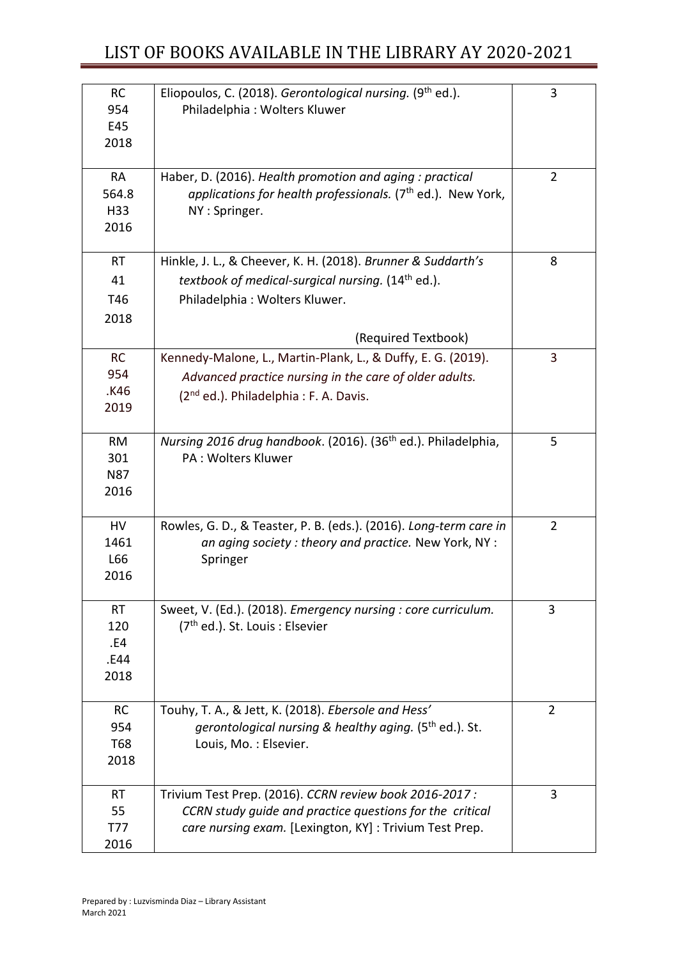| <b>RC</b><br>954<br>E45<br>2018         | Eliopoulos, C. (2018). Gerontological nursing. (9th ed.).<br>Philadelphia: Wolters Kluwer                                                                                             | 3              |
|-----------------------------------------|---------------------------------------------------------------------------------------------------------------------------------------------------------------------------------------|----------------|
| <b>RA</b><br>564.8<br>H33<br>2016       | Haber, D. (2016). Health promotion and aging : practical<br>applications for health professionals. (7 <sup>th</sup> ed.). New York,<br>NY: Springer.                                  | $\overline{2}$ |
| <b>RT</b><br>41<br>T46<br>2018          | Hinkle, J. L., & Cheever, K. H. (2018). Brunner & Suddarth's<br>textbook of medical-surgical nursing. (14 <sup>th</sup> ed.).<br>Philadelphia: Wolters Kluwer.<br>(Required Textbook) | 8              |
| <b>RC</b><br>954<br>.K46<br>2019        | Kennedy-Malone, L., Martin-Plank, L., & Duffy, E. G. (2019).<br>Advanced practice nursing in the care of older adults.<br>(2 <sup>nd</sup> ed.). Philadelphia: F. A. Davis.           | 3              |
| <b>RM</b><br>301<br><b>N87</b><br>2016  | Nursing 2016 drug handbook. (2016). (36 <sup>th</sup> ed.). Philadelphia,<br><b>PA: Wolters Kluwer</b>                                                                                | 5              |
| HV<br>1461<br>L66<br>2016               | Rowles, G. D., & Teaster, P. B. (eds.). (2016). Long-term care in<br>an aging society: theory and practice. New York, NY:<br>Springer                                                 | $\overline{2}$ |
| <b>RT</b><br>120<br>.E4<br>.E44<br>2018 | Sweet, V. (Ed.). (2018). Emergency nursing : core curriculum.<br>(7 <sup>th</sup> ed.). St. Louis: Elsevier                                                                           | 3              |
| <b>RC</b><br>954<br><b>T68</b><br>2018  | Touhy, T. A., & Jett, K. (2018). Ebersole and Hess'<br>gerontological nursing & healthy aging. (5 <sup>th</sup> ed.). St.<br>Louis, Mo.: Elsevier.                                    | $\overline{2}$ |
| <b>RT</b><br>55<br><b>T77</b><br>2016   | Trivium Test Prep. (2016). CCRN review book 2016-2017 :<br>CCRN study quide and practice questions for the critical<br>care nursing exam. [Lexington, KY] : Trivium Test Prep.        | 3              |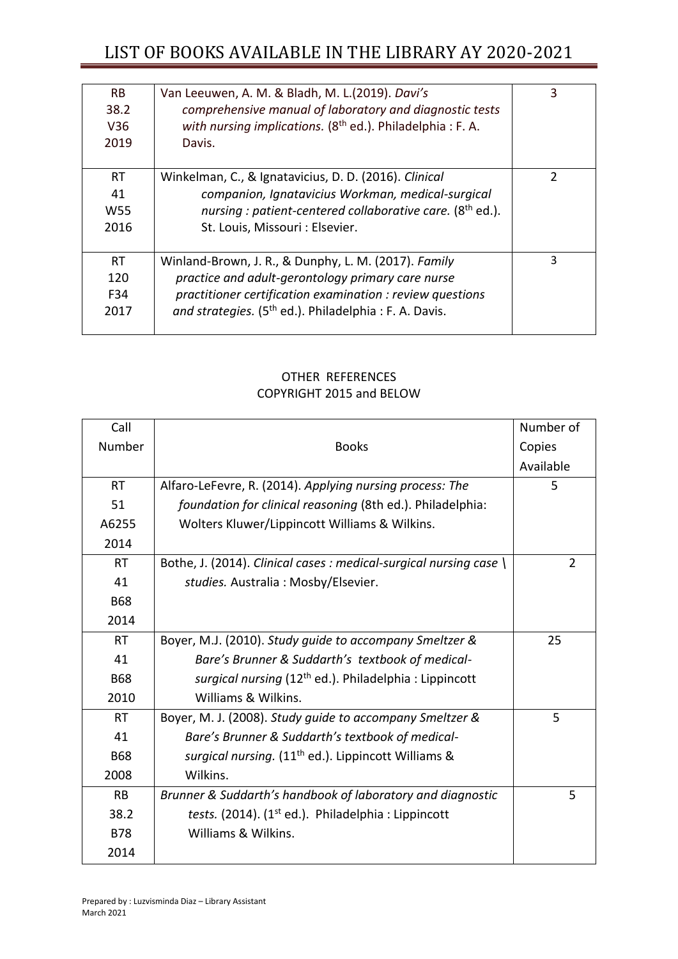| <b>RB</b><br>38.2<br>V36<br>2019           | Van Leeuwen, A. M. & Bladh, M. L.(2019). Davi's<br>comprehensive manual of laboratory and diagnostic tests<br>with nursing implications. $(8th$ ed.). Philadelphia : F. A.<br>Davis.                                                         | 3             |
|--------------------------------------------|----------------------------------------------------------------------------------------------------------------------------------------------------------------------------------------------------------------------------------------------|---------------|
| <b>RT</b><br>41<br>W <sub>55</sub><br>2016 | Winkelman, C., & Ignatavicius, D. D. (2016). Clinical<br>companion, Ignatavicius Workman, medical-surgical<br>nursing : patient-centered collaborative care. (8 <sup>th</sup> ed.).<br>St. Louis, Missouri : Elsevier.                       | $\mathcal{P}$ |
| <b>RT</b><br>120<br>F34<br>2017            | Winland-Brown, J. R., & Dunphy, L. M. (2017). Family<br>practice and adult-gerontology primary care nurse<br>practitioner certification examination : review questions<br>and strategies. (5 <sup>th</sup> ed.). Philadelphia : F. A. Davis. | 3             |

#### OTHER REFERENCES COPYRIGHT 2015 and BELOW

| Call       |                                                                    | Number of      |
|------------|--------------------------------------------------------------------|----------------|
| Number     | <b>Books</b>                                                       | Copies         |
|            |                                                                    | Available      |
| <b>RT</b>  | Alfaro-LeFevre, R. (2014). Applying nursing process: The           | 5              |
| 51         | foundation for clinical reasoning (8th ed.). Philadelphia:         |                |
| A6255      | Wolters Kluwer/Lippincott Williams & Wilkins.                      |                |
| 2014       |                                                                    |                |
| RT.        | Bothe, J. (2014). Clinical cases : medical-surgical nursing case \ | $\overline{2}$ |
| 41         | studies. Australia: Mosby/Elsevier.                                |                |
| <b>B68</b> |                                                                    |                |
| 2014       |                                                                    |                |
| <b>RT</b>  | Boyer, M.J. (2010). Study guide to accompany Smeltzer &            | 25             |
| 41         | Bare's Brunner & Suddarth's textbook of medical-                   |                |
| <b>B68</b> | surgical nursing (12 <sup>th</sup> ed.). Philadelphia: Lippincott  |                |
| 2010       | Williams & Wilkins.                                                |                |
| <b>RT</b>  | Boyer, M. J. (2008). Study guide to accompany Smeltzer &           | 5              |
| 41         | Bare's Brunner & Suddarth's textbook of medical-                   |                |
| <b>B68</b> | surgical nursing. (11 <sup>th</sup> ed.). Lippincott Williams &    |                |
| 2008       | Wilkins.                                                           |                |
| <b>RB</b>  | Brunner & Suddarth's handbook of laboratory and diagnostic         | 5              |
| 38.2       | tests. (2014). $(1st ed.)$ . Philadelphia : Lippincott             |                |
| <b>B78</b> | Williams & Wilkins.                                                |                |
| 2014       |                                                                    |                |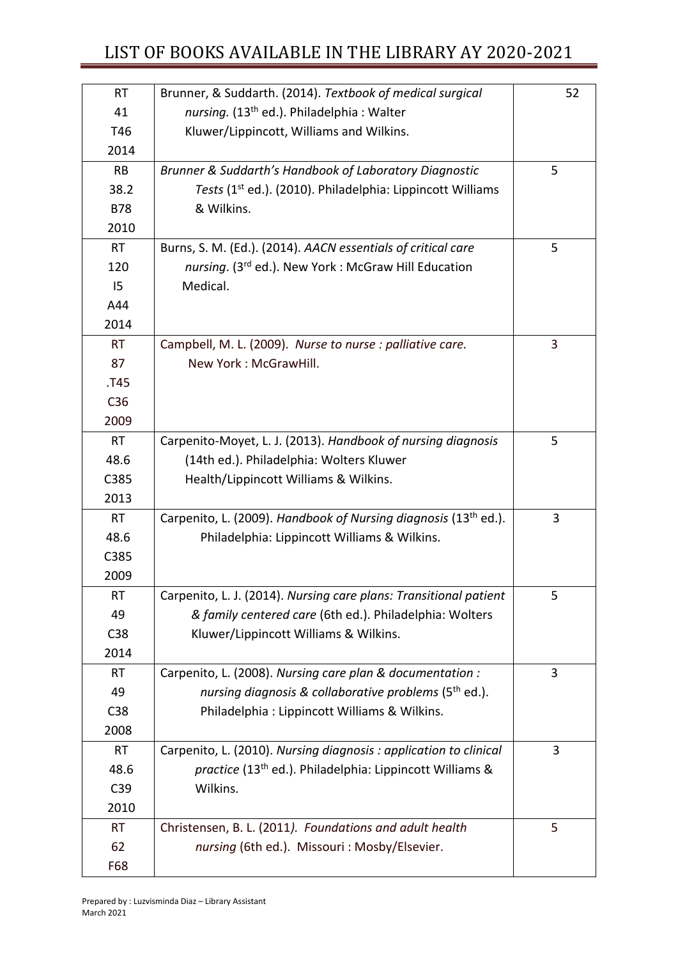| <b>RT</b>       | Brunner, & Suddarth. (2014). Textbook of medical surgical                   | 52 |
|-----------------|-----------------------------------------------------------------------------|----|
| 41              | nursing. (13 <sup>th</sup> ed.). Philadelphia: Walter                       |    |
| T46             | Kluwer/Lippincott, Williams and Wilkins.                                    |    |
| 2014            |                                                                             |    |
| <b>RB</b>       | Brunner & Suddarth's Handbook of Laboratory Diagnostic                      | 5  |
| 38.2            | Tests (1 <sup>st</sup> ed.). (2010). Philadelphia: Lippincott Williams      |    |
| <b>B78</b>      | & Wilkins.                                                                  |    |
| 2010            |                                                                             |    |
| <b>RT</b>       | Burns, S. M. (Ed.). (2014). AACN essentials of critical care                | 5  |
| 120             | nursing. (3rd ed.). New York: McGraw Hill Education                         |    |
| 15              | Medical.                                                                    |    |
| A44             |                                                                             |    |
| 2014            |                                                                             |    |
| <b>RT</b>       | Campbell, M. L. (2009). Nurse to nurse : palliative care.                   | 3  |
| 87              | New York: McGrawHill.                                                       |    |
| .T45            |                                                                             |    |
| C <sub>36</sub> |                                                                             |    |
| 2009            |                                                                             |    |
| <b>RT</b>       | Carpenito-Moyet, L. J. (2013). Handbook of nursing diagnosis                | 5  |
| 48.6            | (14th ed.). Philadelphia: Wolters Kluwer                                    |    |
| C385            | Health/Lippincott Williams & Wilkins.                                       |    |
| 2013            |                                                                             |    |
| <b>RT</b>       | Carpenito, L. (2009). Handbook of Nursing diagnosis (13 <sup>th</sup> ed.). | 3  |
| 48.6            | Philadelphia: Lippincott Williams & Wilkins.                                |    |
| C385            |                                                                             |    |
| 2009            |                                                                             |    |
| RТ              | Carpenito, L. J. (2014). Nursing care plans: Transitional patient           | 5  |
| 49              | & family centered care (6th ed.). Philadelphia: Wolters                     |    |
| C38             | Kluwer/Lippincott Williams & Wilkins.                                       |    |
| 2014            |                                                                             |    |
| <b>RT</b>       | Carpenito, L. (2008). Nursing care plan & documentation :                   | 3  |
| 49              | nursing diagnosis & collaborative problems (5 <sup>th</sup> ed.).           |    |
| C38             | Philadelphia: Lippincott Williams & Wilkins.                                |    |
| 2008            |                                                                             |    |
| <b>RT</b>       | Carpenito, L. (2010). Nursing diagnosis : application to clinical           | 3  |
| 48.6            | practice (13 <sup>th</sup> ed.). Philadelphia: Lippincott Williams &        |    |
| C39             | Wilkins.                                                                    |    |
| 2010            |                                                                             |    |
| <b>RT</b>       | Christensen, B. L. (2011). Foundations and adult health                     | 5  |
| 62              | nursing (6th ed.). Missouri: Mosby/Elsevier.                                |    |
| F68             |                                                                             |    |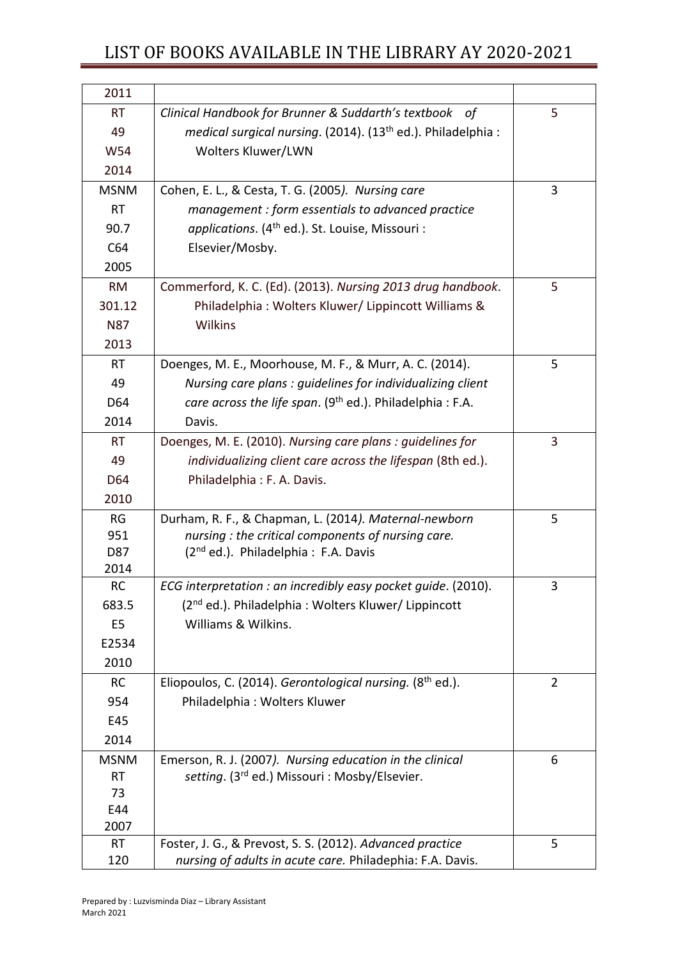| 2011           |                                                                          |                |
|----------------|--------------------------------------------------------------------------|----------------|
| <b>RT</b>      | Clinical Handbook for Brunner & Suddarth's textbook of                   | 5              |
| 49             | medical surgical nursing. (2014). (13 <sup>th</sup> ed.). Philadelphia : |                |
| W54            | Wolters Kluwer/LWN                                                       |                |
| 2014           |                                                                          |                |
| <b>MSNM</b>    | Cohen, E. L., & Cesta, T. G. (2005). Nursing care                        | 3              |
| <b>RT</b>      | management : form essentials to advanced practice                        |                |
| 90.7           | applications. (4 <sup>th</sup> ed.). St. Louise, Missouri :              |                |
| C64            | Elsevier/Mosby.                                                          |                |
| 2005           |                                                                          |                |
| RM             | Commerford, K. C. (Ed). (2013). Nursing 2013 drug handbook.              | 5              |
| 301.12         | Philadelphia: Wolters Kluwer/Lippincott Williams &                       |                |
| <b>N87</b>     | Wilkins                                                                  |                |
| 2013           |                                                                          |                |
| <b>RT</b>      | Doenges, M. E., Moorhouse, M. F., & Murr, A. C. (2014).                  | 5              |
| 49             | Nursing care plans : guidelines for individualizing client               |                |
| D64            | care across the life span. (9 <sup>th</sup> ed.). Philadelphia : F.A.    |                |
| 2014           | Davis.                                                                   |                |
| <b>RT</b>      | Doenges, M. E. (2010). Nursing care plans: guidelines for                | 3              |
| 49             | individualizing client care across the lifespan (8th ed.).               |                |
| D64            | Philadelphia: F. A. Davis.                                               |                |
| 2010           |                                                                          |                |
| RG             | Durham, R. F., & Chapman, L. (2014). Maternal-newborn                    | 5              |
| 951            | nursing: the critical components of nursing care.                        |                |
| D87            | (2 <sup>nd</sup> ed.). Philadelphia: F.A. Davis                          |                |
| 2014           |                                                                          |                |
| <b>RC</b>      | ECG interpretation : an incredibly easy pocket guide. (2010).            | 3              |
| 683.5          | (2 <sup>nd</sup> ed.). Philadelphia: Wolters Kluwer/ Lippincott          |                |
| E <sub>5</sub> | Williams & Wilkins.                                                      |                |
| E2534          |                                                                          |                |
| 2010           |                                                                          |                |
| <b>RC</b>      | Eliopoulos, C. (2014). Gerontological nursing. (8 <sup>th</sup> ed.).    | $\overline{2}$ |
| 954            | Philadelphia: Wolters Kluwer                                             |                |
| E45            |                                                                          |                |
| 2014           |                                                                          |                |
| <b>MSNM</b>    | Emerson, R. J. (2007). Nursing education in the clinical                 | 6              |
| <b>RT</b>      | setting. (3rd ed.) Missouri : Mosby/Elsevier.                            |                |
| 73<br>E44      |                                                                          |                |
| 2007           |                                                                          |                |
| <b>RT</b>      | Foster, J. G., & Prevost, S. S. (2012). Advanced practice                | 5              |
| 120            | nursing of adults in acute care. Philadephia: F.A. Davis.                |                |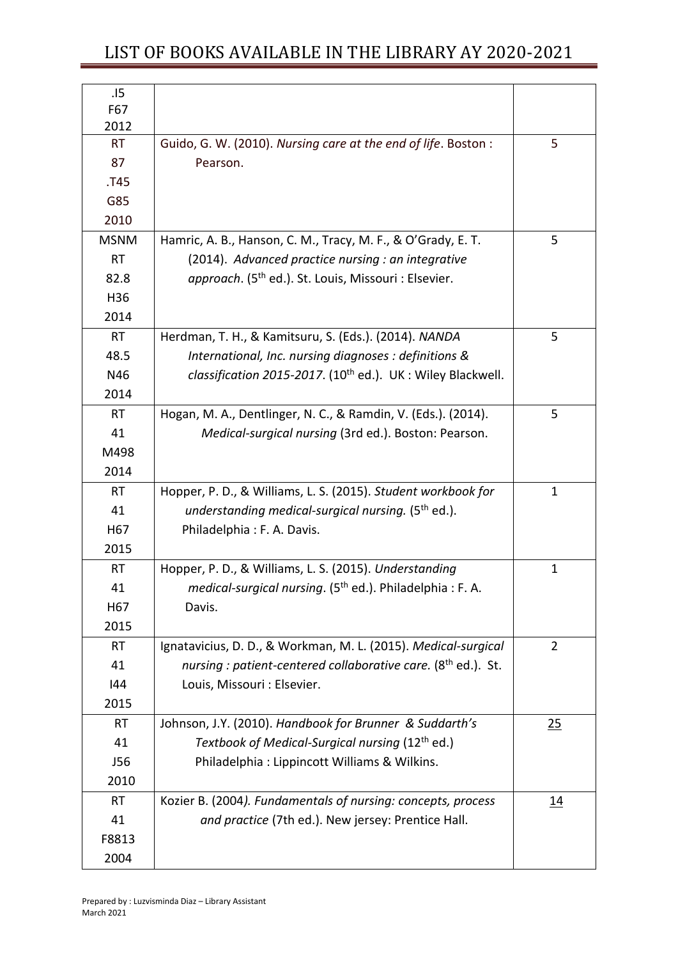| .15             |                                                                           |              |
|-----------------|---------------------------------------------------------------------------|--------------|
| F67             |                                                                           |              |
| 2012            |                                                                           |              |
| <b>RT</b>       | Guido, G. W. (2010). Nursing care at the end of life. Boston:             | 5            |
| 87              | Pearson.                                                                  |              |
| .T45            |                                                                           |              |
| G85             |                                                                           |              |
| 2010            |                                                                           |              |
| <b>MSNM</b>     | Hamric, A. B., Hanson, C. M., Tracy, M. F., & O'Grady, E. T.              | 5            |
| <b>RT</b>       | (2014). Advanced practice nursing : an integrative                        |              |
| 82.8            | approach. (5 <sup>th</sup> ed.). St. Louis, Missouri : Elsevier.          |              |
| H36             |                                                                           |              |
| 2014            |                                                                           |              |
| <b>RT</b>       | Herdman, T. H., & Kamitsuru, S. (Eds.). (2014). NANDA                     | 5            |
| 48.5            | International, Inc. nursing diagnoses : definitions &                     |              |
| N46             | classification 2015-2017. (10 <sup>th</sup> ed.). UK: Wiley Blackwell.    |              |
| 2014            |                                                                           |              |
| <b>RT</b>       | Hogan, M. A., Dentlinger, N. C., & Ramdin, V. (Eds.). (2014).             | 5            |
| 41              | Medical-surgical nursing (3rd ed.). Boston: Pearson.                      |              |
| M498            |                                                                           |              |
| 2014            |                                                                           |              |
| <b>RT</b>       | Hopper, P. D., & Williams, L. S. (2015). Student workbook for             | $\mathbf{1}$ |
| 41              | understanding medical-surgical nursing. (5 <sup>th</sup> ed.).            |              |
| H67             | Philadelphia: F. A. Davis.                                                |              |
| 2015            |                                                                           |              |
| <b>RT</b>       | Hopper, P. D., & Williams, L. S. (2015). Understanding                    | $\mathbf{1}$ |
| 41              | medical-surgical nursing. (5 <sup>th</sup> ed.). Philadelphia: F. A.      |              |
| H <sub>67</sub> | Davis.                                                                    |              |
| 2015            |                                                                           |              |
| <b>RT</b>       | Ignatavicius, D. D., & Workman, M. L. (2015). Medical-surgical            | 2            |
| 41              | nursing : patient-centered collaborative care. (8 <sup>th</sup> ed.). St. |              |
| 144             | Louis, Missouri : Elsevier.                                               |              |
| 2015            |                                                                           |              |
| <b>RT</b>       | Johnson, J.Y. (2010). Handbook for Brunner & Suddarth's                   | 25           |
| 41              | Textbook of Medical-Surgical nursing (12 <sup>th</sup> ed.)               |              |
| J56             | Philadelphia: Lippincott Williams & Wilkins.                              |              |
| 2010            |                                                                           |              |
| <b>RT</b>       |                                                                           |              |
|                 | Kozier B. (2004). Fundamentals of nursing: concepts, process              | <u>14</u>    |
| 41              | and practice (7th ed.). New jersey: Prentice Hall.                        |              |
| F8813           |                                                                           |              |
| 2004            |                                                                           |              |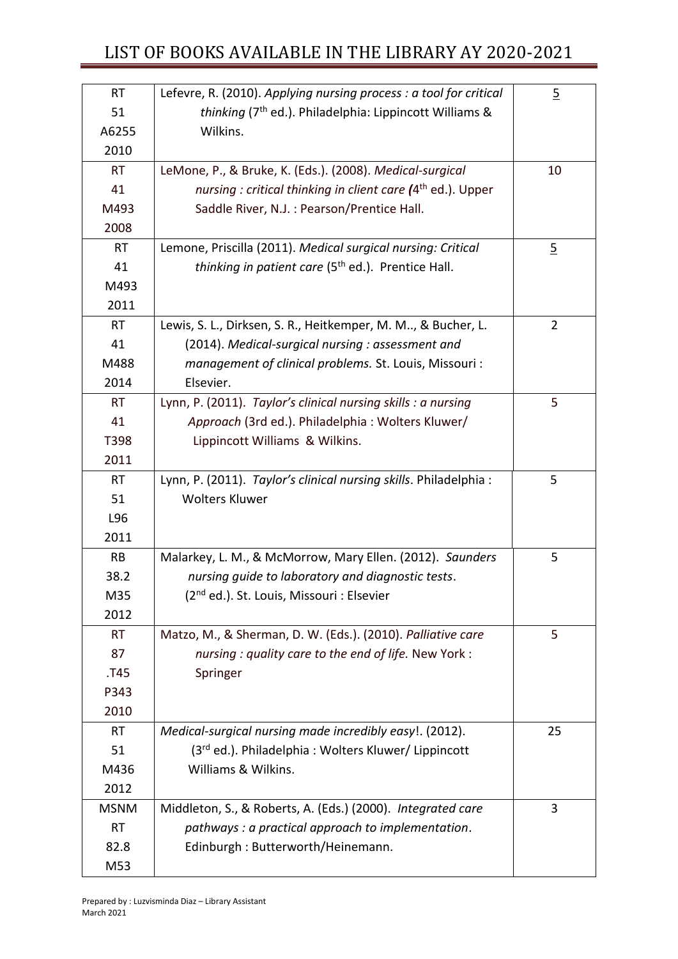| <b>RT</b>   | Lefevre, R. (2010). Applying nursing process : a tool for critical      | $\overline{2}$ |
|-------------|-------------------------------------------------------------------------|----------------|
| 51          | thinking (7 <sup>th</sup> ed.). Philadelphia: Lippincott Williams &     |                |
| A6255       | Wilkins.                                                                |                |
| 2010        |                                                                         |                |
| <b>RT</b>   | LeMone, P., & Bruke, K. (Eds.). (2008). Medical-surgical                | 10             |
| 41          | nursing : critical thinking in client care (4 <sup>th</sup> ed.). Upper |                |
| M493        | Saddle River, N.J. : Pearson/Prentice Hall.                             |                |
| 2008        |                                                                         |                |
| RT          | Lemone, Priscilla (2011). Medical surgical nursing: Critical            | $\overline{2}$ |
| 41          | thinking in patient care (5 <sup>th</sup> ed.). Prentice Hall.          |                |
| M493        |                                                                         |                |
| 2011        |                                                                         |                |
| <b>RT</b>   | Lewis, S. L., Dirksen, S. R., Heitkemper, M. M, & Bucher, L.            | $\overline{2}$ |
| 41          | (2014). Medical-surgical nursing : assessment and                       |                |
| M488        | management of clinical problems. St. Louis, Missouri:                   |                |
| 2014        | Elsevier.                                                               |                |
| <b>RT</b>   | Lynn, P. (2011). Taylor's clinical nursing skills : a nursing           | 5              |
| 41          | Approach (3rd ed.). Philadelphia: Wolters Kluwer/                       |                |
| T398        | Lippincott Williams & Wilkins.                                          |                |
| 2011        |                                                                         |                |
| <b>RT</b>   | Lynn, P. (2011). Taylor's clinical nursing skills. Philadelphia:        | 5              |
| 51          | <b>Wolters Kluwer</b>                                                   |                |
| L96         |                                                                         |                |
| 2011        |                                                                         |                |
| <b>RB</b>   | Malarkey, L. M., & McMorrow, Mary Ellen. (2012). Saunders               | 5              |
| 38.2        | nursing guide to laboratory and diagnostic tests.                       |                |
| M35         | (2 <sup>nd</sup> ed.). St. Louis, Missouri : Elsevier                   |                |
| 2012        |                                                                         |                |
| <b>RT</b>   | Matzo, M., & Sherman, D. W. (Eds.). (2010). Palliative care             | 5              |
| 87          | nursing : quality care to the end of life. New York :                   |                |
| .T45        | Springer                                                                |                |
| P343        |                                                                         |                |
| 2010        |                                                                         |                |
| <b>RT</b>   | Medical-surgical nursing made incredibly easy!. (2012).                 | 25             |
| 51          | (3 <sup>rd</sup> ed.). Philadelphia: Wolters Kluwer/ Lippincott         |                |
| M436        | Williams & Wilkins.                                                     |                |
| 2012        |                                                                         |                |
| <b>MSNM</b> | Middleton, S., & Roberts, A. (Eds.) (2000). Integrated care             | 3              |
| <b>RT</b>   | pathways : a practical approach to implementation.                      |                |
| 82.8        | Edinburgh: Butterworth/Heinemann.                                       |                |
| M53         |                                                                         |                |
|             |                                                                         |                |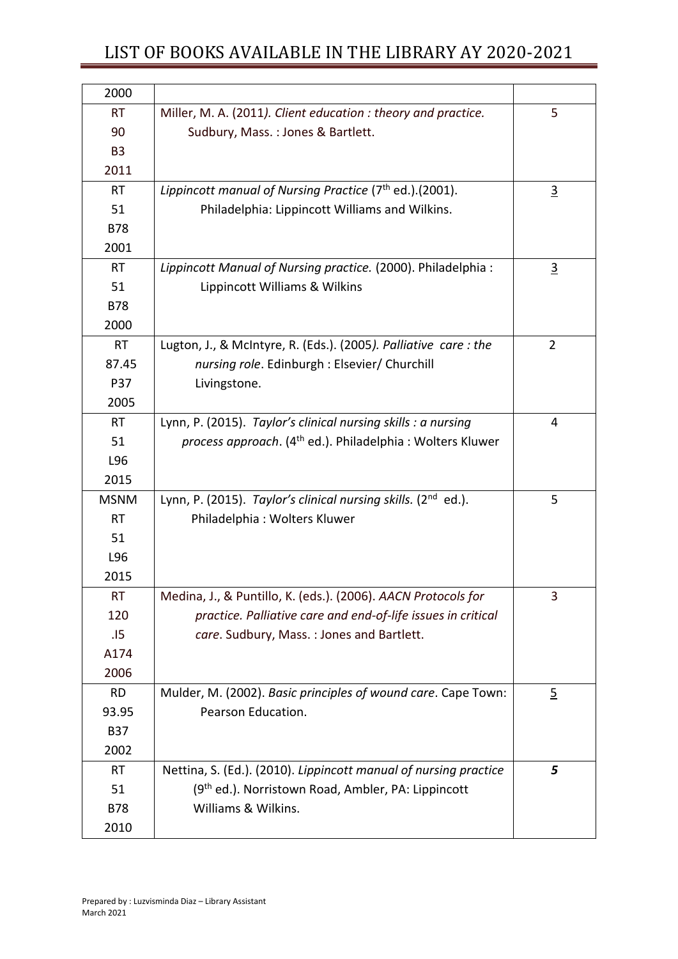| 2000           |                                                                              |                |
|----------------|------------------------------------------------------------------------------|----------------|
| <b>RT</b>      | Miller, M. A. (2011). Client education : theory and practice.                | 5              |
| 90             | Sudbury, Mass.: Jones & Bartlett.                                            |                |
| B <sub>3</sub> |                                                                              |                |
| 2011           |                                                                              |                |
| <b>RT</b>      | Lippincott manual of Nursing Practice $(7th$ ed.).(2001).                    | $\overline{3}$ |
| 51             | Philadelphia: Lippincott Williams and Wilkins.                               |                |
| <b>B78</b>     |                                                                              |                |
| 2001           |                                                                              |                |
| <b>RT</b>      | Lippincott Manual of Nursing practice. (2000). Philadelphia:                 | $\overline{3}$ |
| 51             | Lippincott Williams & Wilkins                                                |                |
| <b>B78</b>     |                                                                              |                |
| 2000           |                                                                              |                |
| <b>RT</b>      | Lugton, J., & McIntyre, R. (Eds.). (2005). Palliative care: the              | $\overline{2}$ |
| 87.45          | nursing role. Edinburgh : Elsevier/ Churchill                                |                |
| <b>P37</b>     | Livingstone.                                                                 |                |
| 2005           |                                                                              |                |
| <b>RT</b>      | Lynn, P. (2015). Taylor's clinical nursing skills : a nursing                | 4              |
| 51             | <i>process approach.</i> (4 <sup>th</sup> ed.). Philadelphia: Wolters Kluwer |                |
| L96            |                                                                              |                |
| 2015           |                                                                              |                |
| <b>MSNM</b>    | Lynn, P. (2015). Taylor's clinical nursing skills. (2 <sup>nd</sup> ed.).    | 5              |
| <b>RT</b>      | Philadelphia: Wolters Kluwer                                                 |                |
| 51             |                                                                              |                |
| L96            |                                                                              |                |
| 2015           |                                                                              |                |
| <b>RT</b>      | Medina, J., & Puntillo, K. (eds.). (2006). AACN Protocols for                | 3              |
| 120            | practice. Palliative care and end-of-life issues in critical                 |                |
| .15            | care. Sudbury, Mass.: Jones and Bartlett.                                    |                |
| A174           |                                                                              |                |
| 2006           |                                                                              |                |
| <b>RD</b>      | Mulder, M. (2002). Basic principles of wound care. Cape Town:                | $\overline{2}$ |
| 93.95          | Pearson Education.                                                           |                |
| <b>B37</b>     |                                                                              |                |
| 2002           |                                                                              |                |
| <b>RT</b>      | Nettina, S. (Ed.). (2010). Lippincott manual of nursing practice             | 5              |
| 51             | (9th ed.). Norristown Road, Ambler, PA: Lippincott                           |                |
| <b>B78</b>     | Williams & Wilkins.                                                          |                |
| 2010           |                                                                              |                |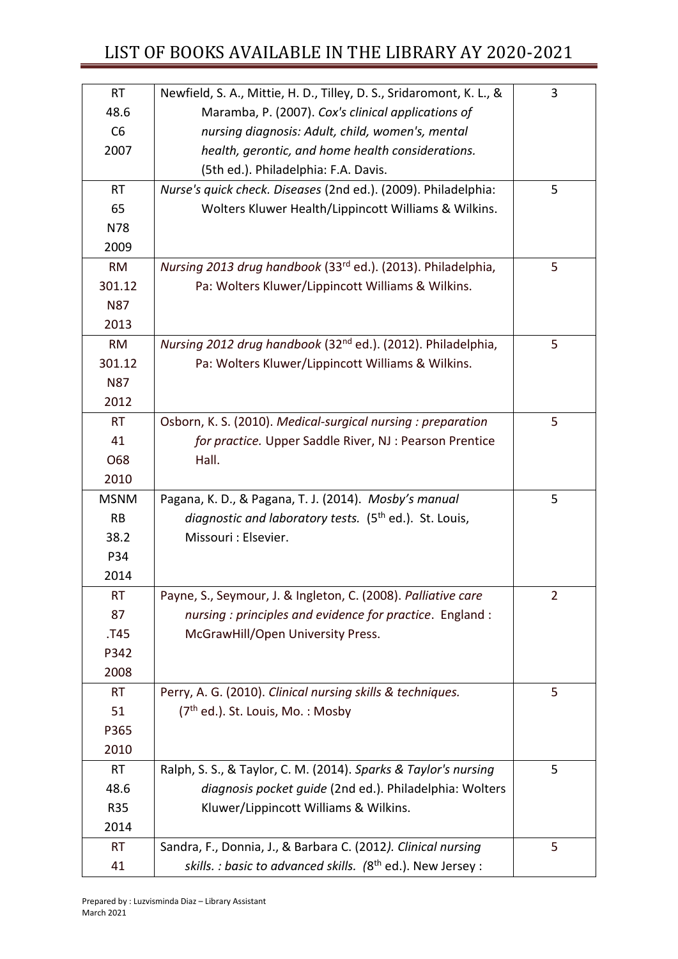| <b>RT</b>   | Newfield, S. A., Mittie, H. D., Tilley, D. S., Sridaromont, K. L., &     | 3 |
|-------------|--------------------------------------------------------------------------|---|
| 48.6        | Maramba, P. (2007). Cox's clinical applications of                       |   |
| C6          | nursing diagnosis: Adult, child, women's, mental                         |   |
| 2007        | health, gerontic, and home health considerations.                        |   |
|             | (5th ed.). Philadelphia: F.A. Davis.                                     |   |
| <b>RT</b>   | Nurse's quick check. Diseases (2nd ed.). (2009). Philadelphia:           | 5 |
| 65          | Wolters Kluwer Health/Lippincott Williams & Wilkins.                     |   |
| N78         |                                                                          |   |
| 2009        |                                                                          |   |
| <b>RM</b>   | Nursing 2013 drug handbook (33 <sup>rd</sup> ed.). (2013). Philadelphia, | 5 |
| 301.12      | Pa: Wolters Kluwer/Lippincott Williams & Wilkins.                        |   |
| <b>N87</b>  |                                                                          |   |
| 2013        |                                                                          |   |
| <b>RM</b>   | Nursing 2012 drug handbook (32 <sup>nd</sup> ed.). (2012). Philadelphia, | 5 |
| 301.12      | Pa: Wolters Kluwer/Lippincott Williams & Wilkins.                        |   |
| <b>N87</b>  |                                                                          |   |
| 2012        |                                                                          |   |
| <b>RT</b>   | Osborn, K. S. (2010). Medical-surgical nursing : preparation             | 5 |
| 41          | for practice. Upper Saddle River, NJ: Pearson Prentice                   |   |
| O68         | Hall.                                                                    |   |
| 2010        |                                                                          |   |
| <b>MSNM</b> | Pagana, K. D., & Pagana, T. J. (2014). Mosby's manual                    | 5 |
| <b>RB</b>   | diagnostic and laboratory tests. (5 <sup>th</sup> ed.). St. Louis,       |   |
| 38.2        | Missouri : Elsevier.                                                     |   |
| P34         |                                                                          |   |
| 2014        |                                                                          |   |
| RT          | Payne, S., Seymour, J. & Ingleton, C. (2008). Palliative care            | 2 |
| 87          | nursing: principles and evidence for practice. England:                  |   |
| .T45        | McGrawHill/Open University Press.                                        |   |
| P342        |                                                                          |   |
| 2008        |                                                                          |   |
| <b>RT</b>   | Perry, A. G. (2010). Clinical nursing skills & techniques.               | 5 |
| 51          | (7 <sup>th</sup> ed.). St. Louis, Mo.: Mosby                             |   |
| P365        |                                                                          |   |
| 2010        |                                                                          |   |
| <b>RT</b>   | Ralph, S. S., & Taylor, C. M. (2014). Sparks & Taylor's nursing          | 5 |
| 48.6        | diagnosis pocket guide (2nd ed.). Philadelphia: Wolters                  |   |
| <b>R35</b>  | Kluwer/Lippincott Williams & Wilkins.                                    |   |
| 2014        |                                                                          |   |
| <b>RT</b>   | Sandra, F., Donnia, J., & Barbara C. (2012). Clinical nursing            | 5 |
| 41          | skills. : basic to advanced skills. (8 <sup>th</sup> ed.). New Jersey :  |   |
|             |                                                                          |   |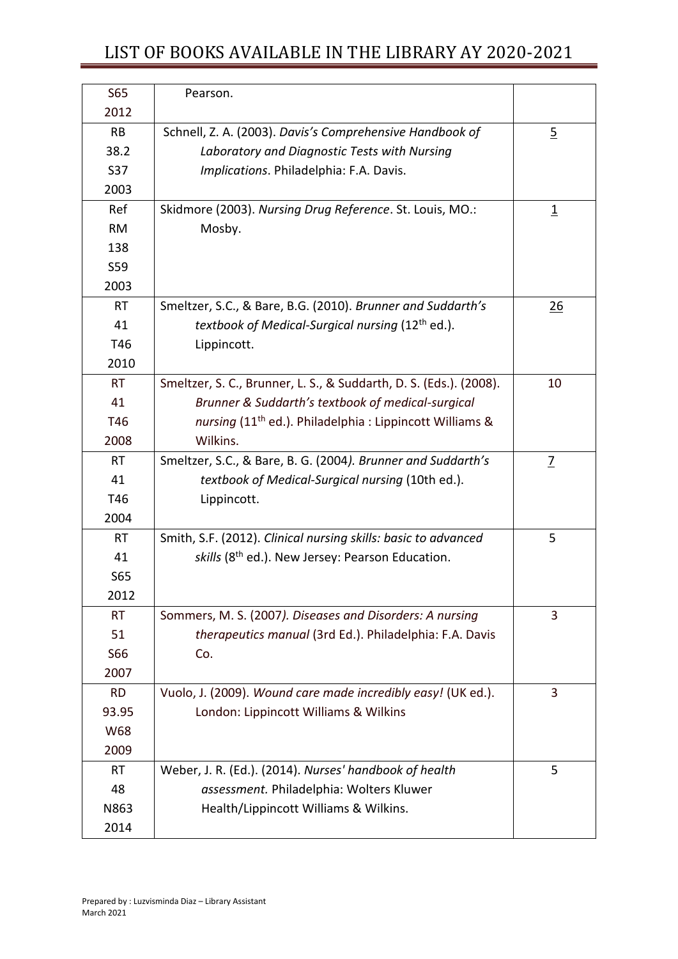| <b>S65</b><br>2012 | Pearson.                                                             |                         |
|--------------------|----------------------------------------------------------------------|-------------------------|
| <b>RB</b>          |                                                                      |                         |
| 38.2               | Schnell, Z. A. (2003). Davis's Comprehensive Handbook of             | $\overline{2}$          |
| <b>S37</b>         | Laboratory and Diagnostic Tests with Nursing                         |                         |
|                    | Implications. Philadelphia: F.A. Davis.                              |                         |
| 2003               |                                                                      |                         |
| Ref                | Skidmore (2003). Nursing Drug Reference. St. Louis, MO.:             | $\overline{\mathbf{1}}$ |
| <b>RM</b>          | Mosby.                                                               |                         |
| 138                |                                                                      |                         |
| S59                |                                                                      |                         |
| 2003               |                                                                      |                         |
| <b>RT</b>          | Smeltzer, S.C., & Bare, B.G. (2010). Brunner and Suddarth's          | <u>26</u>               |
| 41                 | textbook of Medical-Surgical nursing (12 <sup>th</sup> ed.).         |                         |
| T46                | Lippincott.                                                          |                         |
| 2010               |                                                                      |                         |
| <b>RT</b>          | Smeltzer, S. C., Brunner, L. S., & Suddarth, D. S. (Eds.). (2008).   | 10                      |
| 41                 | Brunner & Suddarth's textbook of medical-surgical                    |                         |
| T46                | nursing (11 <sup>th</sup> ed.). Philadelphia : Lippincott Williams & |                         |
| 2008               | Wilkins.                                                             |                         |
| <b>RT</b>          | Smeltzer, S.C., & Bare, B. G. (2004). Brunner and Suddarth's         | $\overline{L}$          |
| 41                 | textbook of Medical-Surgical nursing (10th ed.).                     |                         |
| T46                | Lippincott.                                                          |                         |
| 2004               |                                                                      |                         |
| <b>RT</b>          | Smith, S.F. (2012). Clinical nursing skills: basic to advanced       | 5                       |
| 41                 | skills (8 <sup>th</sup> ed.). New Jersey: Pearson Education.         |                         |
| <b>S65</b>         |                                                                      |                         |
| 2012               |                                                                      |                         |
| <b>RT</b>          | Sommers, M. S. (2007). Diseases and Disorders: A nursing             | 3                       |
| 51                 | therapeutics manual (3rd Ed.). Philadelphia: F.A. Davis              |                         |
| S66                | Co.                                                                  |                         |
| 2007               |                                                                      |                         |
| <b>RD</b>          | Vuolo, J. (2009). Wound care made incredibly easy! (UK ed.).         | 3                       |
| 93.95              | London: Lippincott Williams & Wilkins                                |                         |
| W68                |                                                                      |                         |
| 2009               |                                                                      |                         |
| <b>RT</b>          | Weber, J. R. (Ed.). (2014). Nurses' handbook of health               | 5                       |
| 48                 | assessment. Philadelphia: Wolters Kluwer                             |                         |
| N863               | Health/Lippincott Williams & Wilkins.                                |                         |
| 2014               |                                                                      |                         |
|                    |                                                                      |                         |